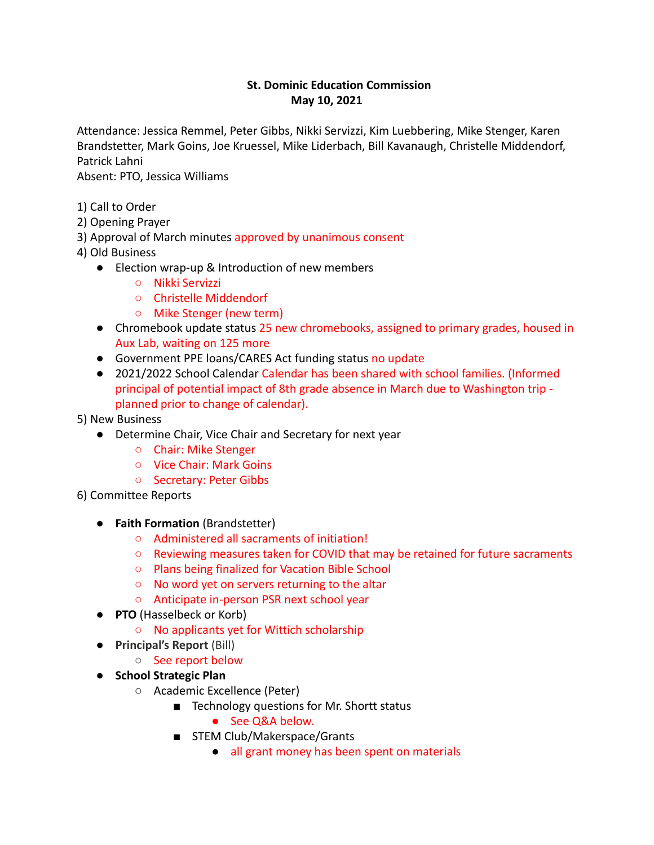# **St. Dominic Education Commission May 10, 2021**

Attendance: Jessica Remmel, Peter Gibbs, Nikki Servizzi, Kim Luebbering, Mike Stenger, Karen Brandstetter, Mark Goins, Joe Kruessel, Mike Liderbach, Bill Kavanaugh, Christelle Middendorf, Patrick Lahni

Absent: PTO, Jessica Williams

- 1) Call to Order
- 2) Opening Prayer
- 3) Approval of March minutes approved by unanimous consent
- 4) Old Business
	- Election wrap-up & Introduction of new members
		- Nikki Servizzi
		- Christelle Middendorf
		- Mike Stenger (new term)
	- Chromebook update status 25 new chromebooks, assigned to primary grades, housed in Aux Lab, waiting on 125 more
	- Government PPE loans/CARES Act funding status no update
	- 2021/2022 School Calendar Calendar has been shared with school families. (Informed principal of potential impact of 8th grade absence in March due to Washington trip planned prior to change of calendar).
- 5) New Business
	- Determine Chair, Vice Chair and Secretary for next year
		- Chair: Mike Stenger
		- Vice Chair: Mark Goins
		- Secretary: Peter Gibbs
- 6) Committee Reports
	- **Faith Formation** (Brandstetter)
		- Administered all sacraments of initiation!
		- Reviewing measures taken for COVID that may be retained for future sacraments
		- Plans being finalized for Vacation Bible School
		- No word yet on servers returning to the altar
		- Anticipate in-person PSR next school year
	- **PTO** (Hasselbeck or Korb)
		- No applicants yet for Wittich scholarship
	- **Principal's Report** (Bill)
		- See report below
	- **School Strategic Plan**
		- Academic Excellence (Peter)
			- Technology questions for Mr. Shortt status
				- See Q&A below.
			- STEM Club/Makerspace/Grants
				- all grant money has been spent on materials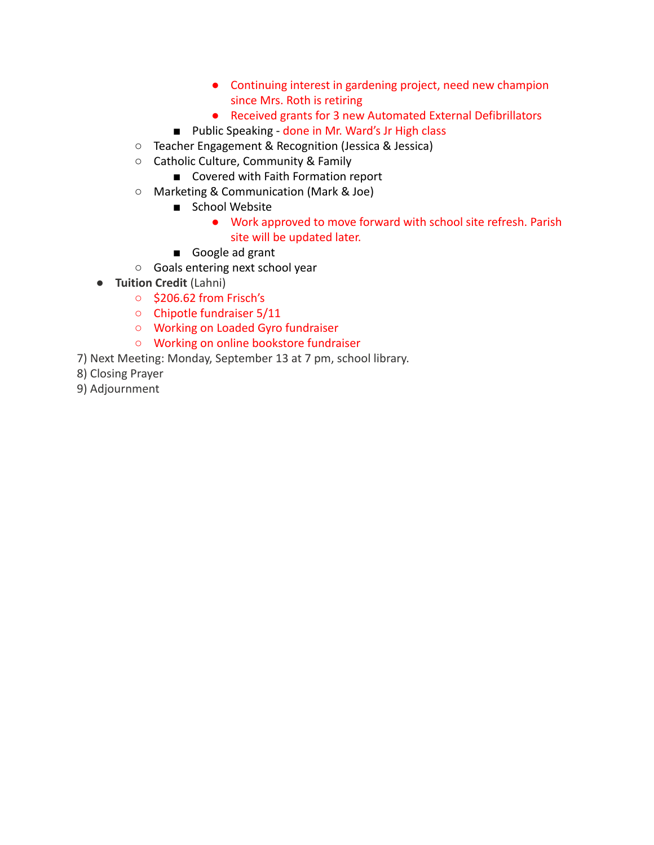- Continuing interest in gardening project, need new champion since Mrs. Roth is retiring
- Received grants for 3 new Automated External Defibrillators
- Public Speaking done in Mr. Ward's Jr High class
- Teacher Engagement & Recognition (Jessica & Jessica)
- Catholic Culture, Community & Family
	- Covered with Faith Formation report
- Marketing & Communication (Mark & Joe)
	- School Website
		- Work approved to move forward with school site refresh. Parish site will be updated later.
	- Google ad grant
- Goals entering next school year
- **Tuition Credit** (Lahni)
	- \$206.62 from Frisch's
	- Chipotle fundraiser 5/11
	- Working on Loaded Gyro fundraiser
	- Working on online bookstore fundraiser
- 7) Next Meeting: Monday, September 13 at 7 pm, school library.
- 8) Closing Prayer
- 9) Adjournment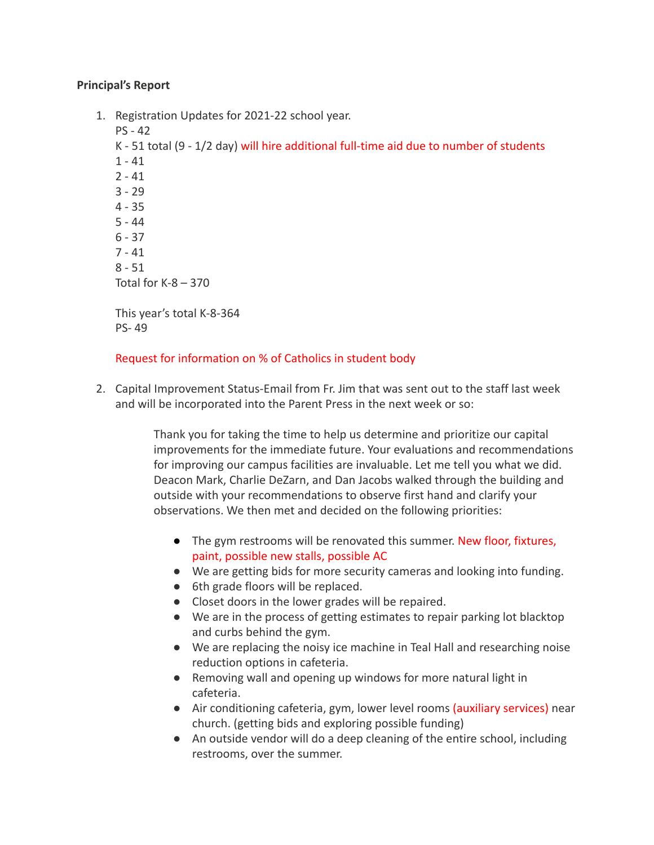# **Principal's Report**

1. Registration Updates for 2021-22 school year. PS - 42 K - 51 total (9 - 1/2 day) will hire additional full-time aid due to number of students  $1 - 41$  $2 - 41$ 3 - 29 4 - 35 5 - 44 6 - 37 7 - 41  $8 - 51$ Total for  $K-8 - 370$ This year's total K-8-364 PS- 49

# Request for information on % of Catholics in student body

2. Capital Improvement Status-Email from Fr. Jim that was sent out to the staff last week and will be incorporated into the Parent Press in the next week or so:

> Thank you for taking the time to help us determine and prioritize our capital improvements for the immediate future. Your evaluations and recommendations for improving our campus facilities are invaluable. Let me tell you what we did. Deacon Mark, Charlie DeZarn, and Dan Jacobs walked through the building and outside with your recommendations to observe first hand and clarify your observations. We then met and decided on the following priorities:

- The gym restrooms will be renovated this summer. New floor, fixtures, paint, possible new stalls, possible AC
- We are getting bids for more security cameras and looking into funding.
- 6th grade floors will be replaced.
- Closet doors in the lower grades will be repaired.
- We are in the process of getting estimates to repair parking lot blacktop and curbs behind the gym.
- We are replacing the noisy ice machine in Teal Hall and researching noise reduction options in cafeteria.
- Removing wall and opening up windows for more natural light in cafeteria.
- Air conditioning cafeteria, gym, lower level rooms (auxiliary services) near church. (getting bids and exploring possible funding)
- An outside vendor will do a deep cleaning of the entire school, including restrooms, over the summer.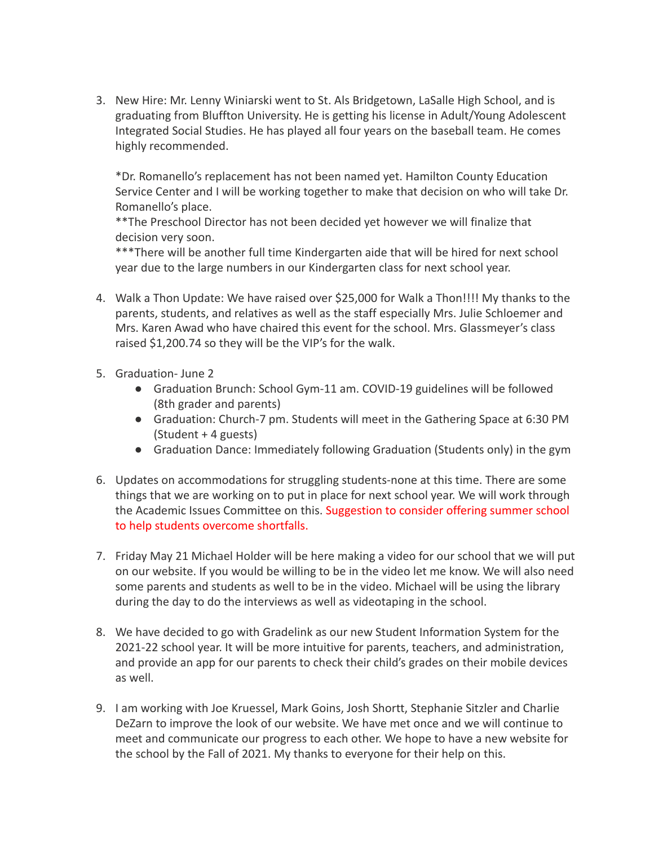3. New Hire: Mr. Lenny Winiarski went to St. Als Bridgetown, LaSalle High School, and is graduating from Bluffton University. He is getting his license in Adult/Young Adolescent Integrated Social Studies. He has played all four years on the baseball team. He comes highly recommended.

\*Dr. Romanello's replacement has not been named yet. Hamilton County Education Service Center and I will be working together to make that decision on who will take Dr. Romanello's place.

\*\*The Preschool Director has not been decided yet however we will finalize that decision very soon.

\*\*\*There will be another full time Kindergarten aide that will be hired for next school year due to the large numbers in our Kindergarten class for next school year.

- 4. Walk a Thon Update: We have raised over \$25,000 for Walk a Thon!!!! My thanks to the parents, students, and relatives as well as the staff especially Mrs. Julie Schloemer and Mrs. Karen Awad who have chaired this event for the school. Mrs. Glassmeyer's class raised \$1,200.74 so they will be the VIP's for the walk.
- 5. Graduation- June 2
	- Graduation Brunch: School Gym-11 am. COVID-19 guidelines will be followed (8th grader and parents)
	- Graduation: Church-7 pm. Students will meet in the Gathering Space at 6:30 PM (Student + 4 guests)
	- Graduation Dance: Immediately following Graduation (Students only) in the gym
- 6. Updates on accommodations for struggling students-none at this time. There are some things that we are working on to put in place for next school year. We will work through the Academic Issues Committee on this. Suggestion to consider offering summer school to help students overcome shortfalls.
- 7. Friday May 21 Michael Holder will be here making a video for our school that we will put on our website. If you would be willing to be in the video let me know. We will also need some parents and students as well to be in the video. Michael will be using the library during the day to do the interviews as well as videotaping in the school.
- 8. We have decided to go with Gradelink as our new Student Information System for the 2021-22 school year. It will be more intuitive for parents, teachers, and administration, and provide an app for our parents to check their child's grades on their mobile devices as well.
- 9. I am working with Joe Kruessel, Mark Goins, Josh Shortt, Stephanie Sitzler and Charlie DeZarn to improve the look of our website. We have met once and we will continue to meet and communicate our progress to each other. We hope to have a new website for the school by the Fall of 2021. My thanks to everyone for their help on this.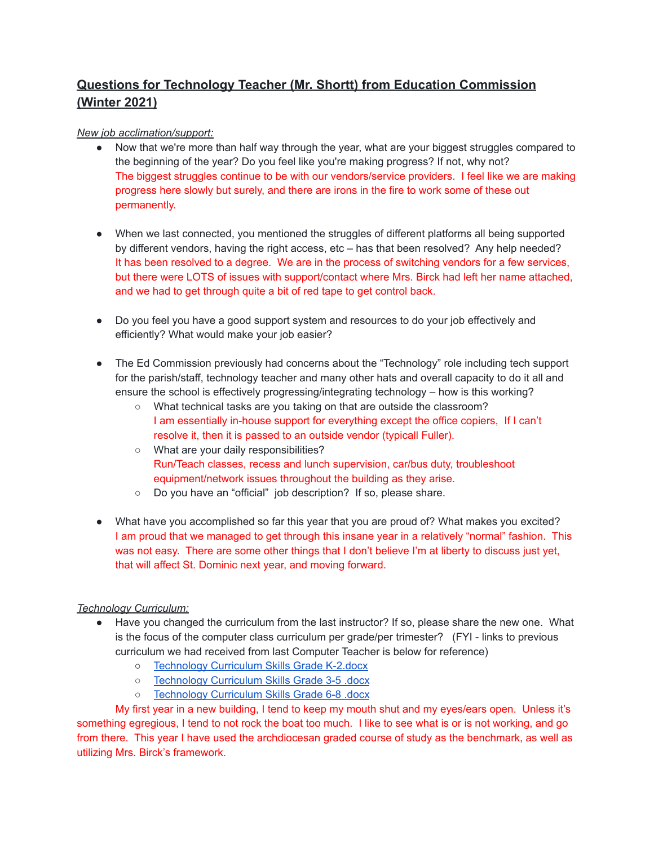# **Questions for Technology Teacher (Mr. Shortt) from Education Commission (Winter 2021)**

## *New job acclimation/support:*

- Now that we're more than half way through the year, what are your biggest struggles compared to the beginning of the year? Do you feel like you're making progress? If not, why not? The biggest struggles continue to be with our vendors/service providers. I feel like we are making progress here slowly but surely, and there are irons in the fire to work some of these out permanently.
- When we last connected, you mentioned the struggles of different platforms all being supported by different vendors, having the right access, etc – has that been resolved? Any help needed? It has been resolved to a degree. We are in the process of switching vendors for a few services, but there were LOTS of issues with support/contact where Mrs. Birck had left her name attached, and we had to get through quite a bit of red tape to get control back.
- Do you feel you have a good support system and resources to do your job effectively and efficiently? What would make your job easier?
- The Ed Commission previously had concerns about the "Technology" role including tech support for the parish/staff, technology teacher and many other hats and overall capacity to do it all and ensure the school is effectively progressing/integrating technology – how is this working?
	- What technical tasks are you taking on that are outside the classroom? I am essentially in-house support for everything except the office copiers, If I can't resolve it, then it is passed to an outside vendor (typicall Fuller).
	- What are your daily responsibilities? Run/Teach classes, recess and lunch supervision, car/bus duty, troubleshoot equipment/network issues throughout the building as they arise.
	- Do you have an "official" job description? If so, please share.
- What have you accomplished so far this year that you are proud of? What makes you excited? I am proud that we managed to get through this insane year in a relatively "normal" fashion. This was not easy. There are some other things that I don't believe I'm at liberty to discuss just yet, that will affect St. Dominic next year, and moving forward.

## *Technology Curriculum:*

- Have you changed the curriculum from the last instructor? If so, please share the new one. What is the focus of the computer class curriculum per grade/per trimester? (FYI - links to previous curriculum we had received from last Computer Teacher is below for reference)
	- [Technology](https://drive.google.com/file/d/17fjgAh1b-QilYK8oMlLZs_5OCVScd8BQ/view?usp=sharing) Curriculum Skills Grade K-2.docx
	- [Technology](https://drive.google.com/file/d/1j24qz-b0hmX44I7nDEKqyOFaucMfN33A/view?usp=sharing) Curriculum Skills Grade 3-5 .docx
	- [Technology](https://drive.google.com/file/d/1-uOTFo_7vgo_ZGPrWi29vwPjx5aOawH0/view?usp=sharing) Curriculum Skills Grade 6-8 .docx

My first year in a new building, I tend to keep my mouth shut and my eyes/ears open. Unless it's something egregious, I tend to not rock the boat too much. I like to see what is or is not working, and go from there. This year I have used the archdiocesan graded course of study as the benchmark, as well as utilizing Mrs. Birck's framework.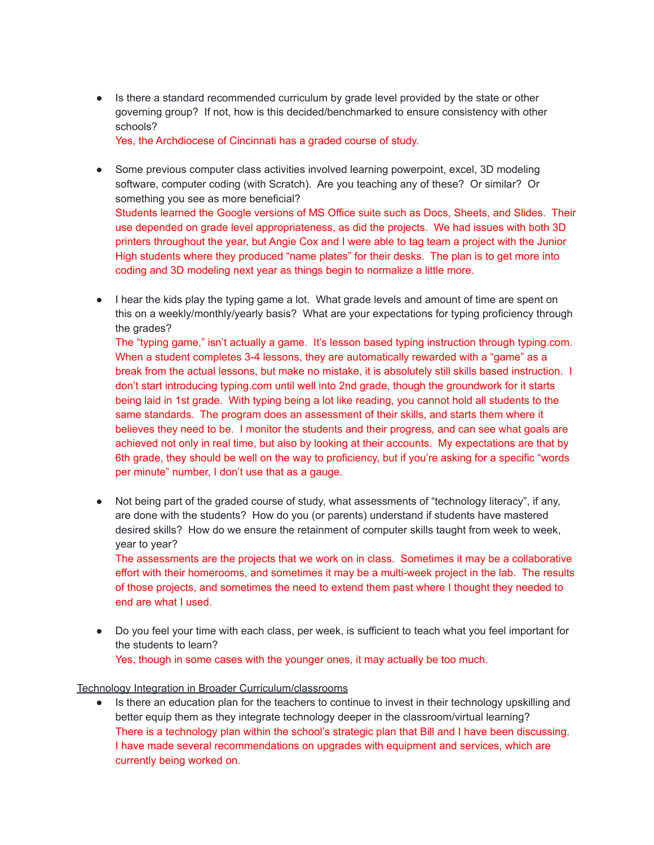● Is there a standard recommended curriculum by grade level provided by the state or other governing group? If not, how is this decided/benchmarked to ensure consistency with other schools?

Yes, the Archdiocese of Cincinnati has a graded course of study.

- Some previous computer class activities involved learning powerpoint, excel, 3D modeling software, computer coding (with Scratch). Are you teaching any of these? Or similar? Or something you see as more beneficial? Students learned the Google versions of MS Office suite such as Docs, Sheets, and Slides. Their use depended on grade level appropriateness, as did the projects. We had issues with both 3D printers throughout the year, but Angie Cox and I were able to tag team a project with the Junior High students where they produced "name plates" for their desks. The plan is to get more into coding and 3D modeling next year as things begin to normalize a little more.
- I hear the kids play the typing game a lot. What grade levels and amount of time are spent on this on a weekly/monthly/yearly basis? What are your expectations for typing proficiency through the grades?

The "typing game," isn't actually a game. It's lesson based typing instruction through typing.com. When a student completes 3-4 lessons, they are automatically rewarded with a "game" as a break from the actual lessons, but make no mistake, it is absolutely still skills based instruction. I don't start introducing typing.com until well into 2nd grade, though the groundwork for it starts being laid in 1st grade. With typing being a lot like reading, you cannot hold all students to the same standards. The program does an assessment of their skills, and starts them where it believes they need to be. I monitor the students and their progress, and can see what goals are achieved not only in real time, but also by looking at their accounts. My expectations are that by 6th grade, they should be well on the way to proficiency, but if you're asking for a specific "words per minute" number, I don't use that as a gauge.

• Not being part of the graded course of study, what assessments of "technology literacy", if any, are done with the students? How do you (or parents) understand if students have mastered desired skills? How do we ensure the retainment of computer skills taught from week to week, year to year?

The assessments are the projects that we work on in class. Sometimes it may be a collaborative effort with their homerooms, and sometimes it may be a multi-week project in the lab. The results of those projects, and sometimes the need to extend them past where I thought they needed to end are what I used.

● Do you feel your time with each class, per week, is sufficient to teach what you feel important for the students to learn? Yes, though in some cases with the younger ones, it may actually be too much.

## Technology Integration in Broader Curriculum/classrooms

• Is there an education plan for the teachers to continue to invest in their technology upskilling and better equip them as they integrate technology deeper in the classroom/virtual learning? There is a technology plan within the school's strategic plan that Bill and I have been discussing. I have made several recommendations on upgrades with equipment and services, which are currently being worked on.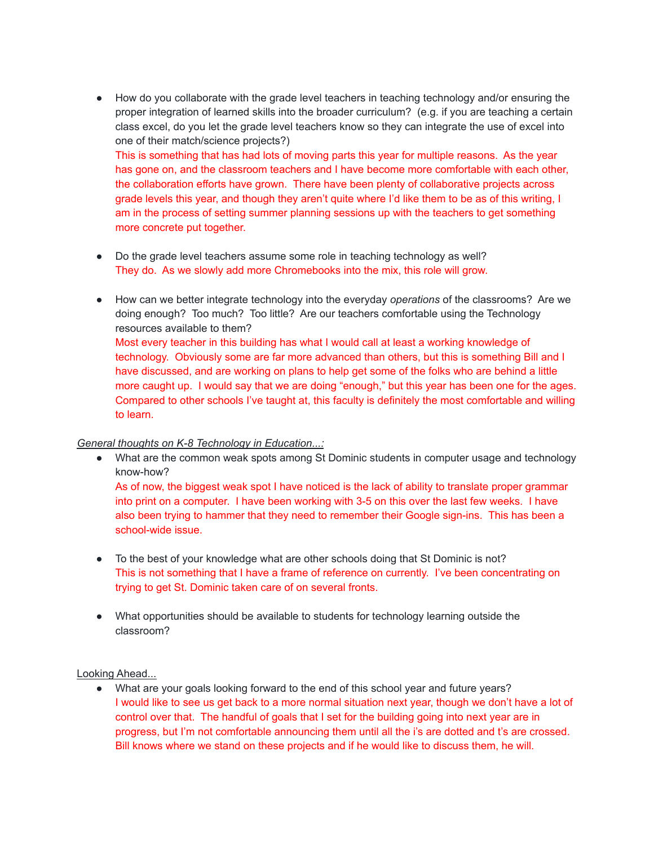● How do you collaborate with the grade level teachers in teaching technology and/or ensuring the proper integration of learned skills into the broader curriculum? (e.g. if you are teaching a certain class excel, do you let the grade level teachers know so they can integrate the use of excel into one of their match/science projects?)

This is something that has had lots of moving parts this year for multiple reasons. As the year has gone on, and the classroom teachers and I have become more comfortable with each other, the collaboration efforts have grown. There have been plenty of collaborative projects across grade levels this year, and though they aren't quite where I'd like them to be as of this writing, I am in the process of setting summer planning sessions up with the teachers to get something more concrete put together.

- Do the grade level teachers assume some role in teaching technology as well? They do. As we slowly add more Chromebooks into the mix, this role will grow.
- How can we better integrate technology into the everyday *operations* of the classrooms? Are we doing enough? Too much? Too little? Are our teachers comfortable using the Technology resources available to them? Most every teacher in this building has what I would call at least a working knowledge of technology. Obviously some are far more advanced than others, but this is something Bill and I have discussed, and are working on plans to help get some of the folks who are behind a little more caught up. I would say that we are doing "enough," but this year has been one for the ages. Compared to other schools I've taught at, this faculty is definitely the most comfortable and willing to learn.

## *General thoughts on K-8 Technology in Education...:*

- What are the common weak spots among St Dominic students in computer usage and technology know-how? As of now, the biggest weak spot I have noticed is the lack of ability to translate proper grammar into print on a computer. I have been working with 3-5 on this over the last few weeks. I have also been trying to hammer that they need to remember their Google sign-ins. This has been a
- school-wide issue. • To the best of your knowledge what are other schools doing that St Dominic is not?
- This is not something that I have a frame of reference on currently. I've been concentrating on trying to get St. Dominic taken care of on several fronts.
- What opportunities should be available to students for technology learning outside the classroom?

## Looking Ahead...

● What are your goals looking forward to the end of this school year and future years? I would like to see us get back to a more normal situation next year, though we don't have a lot of control over that. The handful of goals that I set for the building going into next year are in progress, but I'm not comfortable announcing them until all the i's are dotted and t's are crossed. Bill knows where we stand on these projects and if he would like to discuss them, he will.